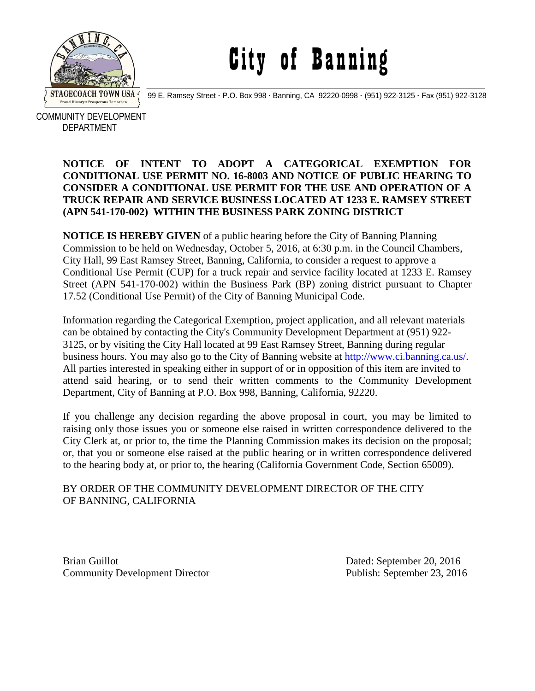

## City of Banning

99 E. Ramsey Street **·** P.O. Box 998 **·** Banning, CA 92220-0998 **·** (951) 922-3125 **·** Fax (951) 922-3128

 COMMUNITY DEVELOPMENT DEPARTMENT

## **NOTICE OF INTENT TO ADOPT A CATEGORICAL EXEMPTION FOR CONDITIONAL USE PERMIT NO. 16-8003 AND NOTICE OF PUBLIC HEARING TO CONSIDER A CONDITIONAL USE PERMIT FOR THE USE AND OPERATION OF A TRUCK REPAIR AND SERVICE BUSINESS LOCATED AT 1233 E. RAMSEY STREET (APN 541-170-002) WITHIN THE BUSINESS PARK ZONING DISTRICT**

**NOTICE IS HEREBY GIVEN** of a public hearing before the City of Banning Planning Commission to be held on Wednesday, October 5, 2016, at 6:30 p.m. in the Council Chambers, City Hall, 99 East Ramsey Street, Banning, California, to consider a request to approve a Conditional Use Permit (CUP) for a truck repair and service facility located at 1233 E. Ramsey Street (APN 541-170-002) within the Business Park (BP) zoning district pursuant to Chapter 17.52 (Conditional Use Permit) of the City of Banning Municipal Code.

Information regarding the Categorical Exemption, project application, and all relevant materials can be obtained by contacting the City's Community Development Department at (951) 922- 3125, or by visiting the City Hall located at 99 East Ramsey Street, Banning during regular business hours. You may also go to the City of Banning website at http://www.ci.banning.ca.us/. All parties interested in speaking either in support of or in opposition of this item are invited to attend said hearing, or to send their written comments to the Community Development Department, City of Banning at P.O. Box 998, Banning, California, 92220.

If you challenge any decision regarding the above proposal in court, you may be limited to raising only those issues you or someone else raised in written correspondence delivered to the City Clerk at, or prior to, the time the Planning Commission makes its decision on the proposal; or, that you or someone else raised at the public hearing or in written correspondence delivered to the hearing body at, or prior to, the hearing (California Government Code, Section 65009).

## BY ORDER OF THE COMMUNITY DEVELOPMENT DIRECTOR OF THE CITY OF BANNING, CALIFORNIA

Brian Guillot **Dated:** September 20, 2016 Community Development Director Publish: September 23, 2016